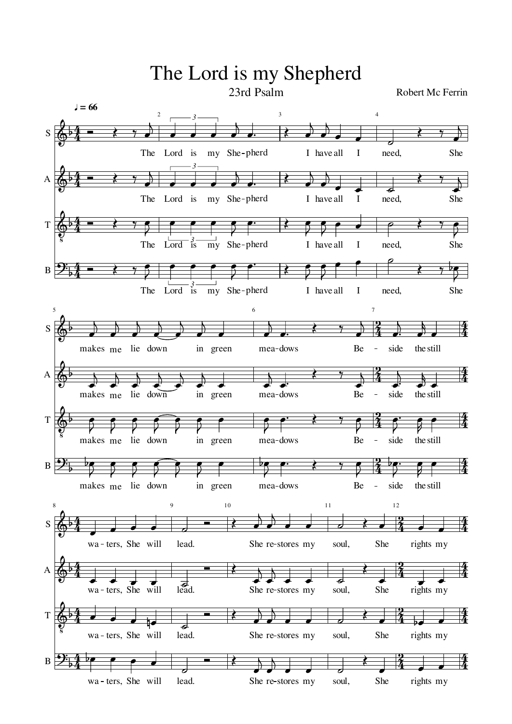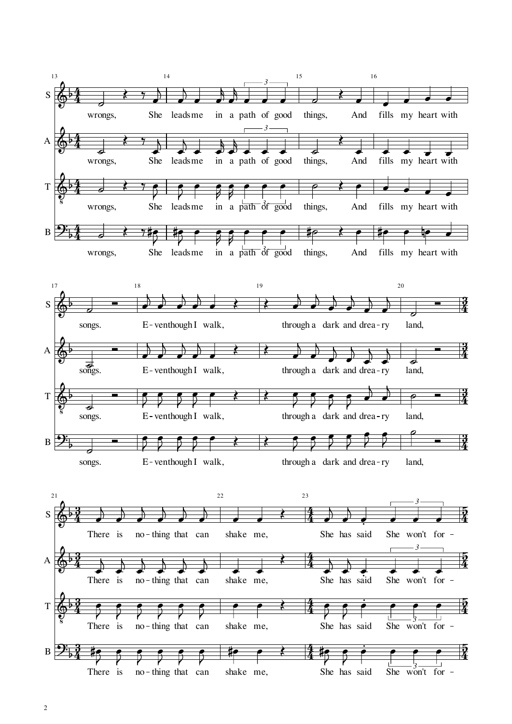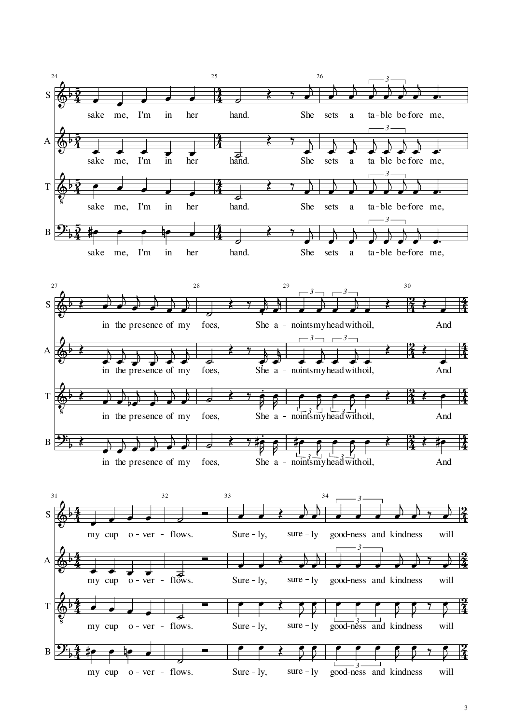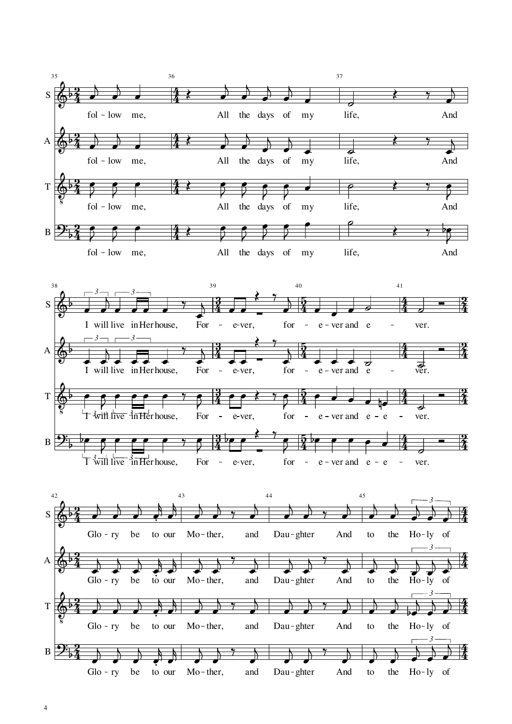